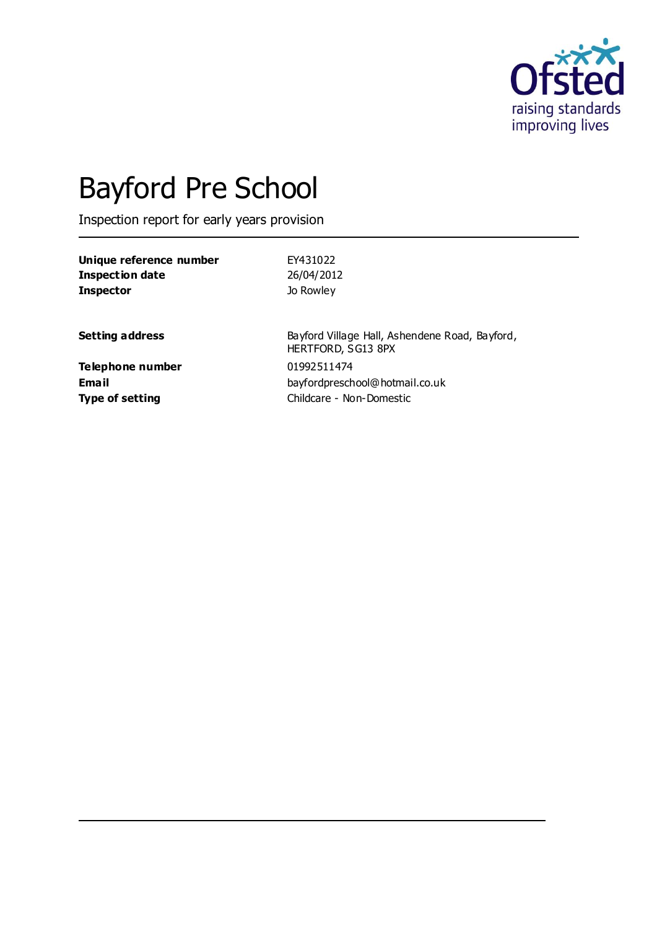

# Bayford Pre School

Inspection report for early years provision

| Unique reference number<br><b>Inspection date</b><br><b>Inspector</b> | EY431022<br>26/04/2012<br>Jo Rowley                |
|-----------------------------------------------------------------------|----------------------------------------------------|
| <b>Setting address</b>                                                | Bayford Village Hall, Ashend<br>HERTFORD, SG13 8PX |
| Telephone number                                                      | 01992511474                                        |

dene Road, Bayford, **Email** bayfordpreschool@hotmail.co.uk **Type of setting** Childcare - Non-Domestic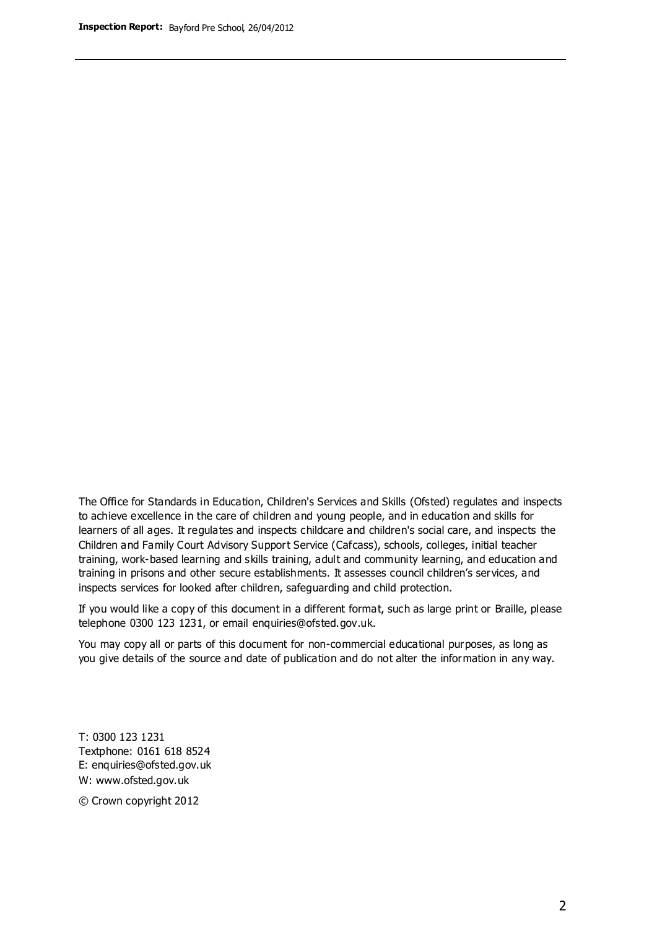The Office for Standards in Education, Children's Services and Skills (Ofsted) regulates and inspects to achieve excellence in the care of children and young people, and in education and skills for learners of all ages. It regulates and inspects childcare and children's social care, and inspects the Children and Family Court Advisory Support Service (Cafcass), schools, colleges, initial teacher training, work-based learning and skills training, adult and community learning, and education and training in prisons and other secure establishments. It assesses council children's services, and inspects services for looked after children, safeguarding and child protection.

If you would like a copy of this document in a different format, such as large print or Braille, please telephone 0300 123 1231, or email enquiries@ofsted.gov.uk.

You may copy all or parts of this document for non-commercial educational purposes, as long as you give details of the source and date of publication and do not alter the information in any way.

T: 0300 123 1231 Textphone: 0161 618 8524 E: enquiries@ofsted.gov.uk W: [www.ofsted.gov.uk](http://www.ofsted.gov.uk/)

© Crown copyright 2012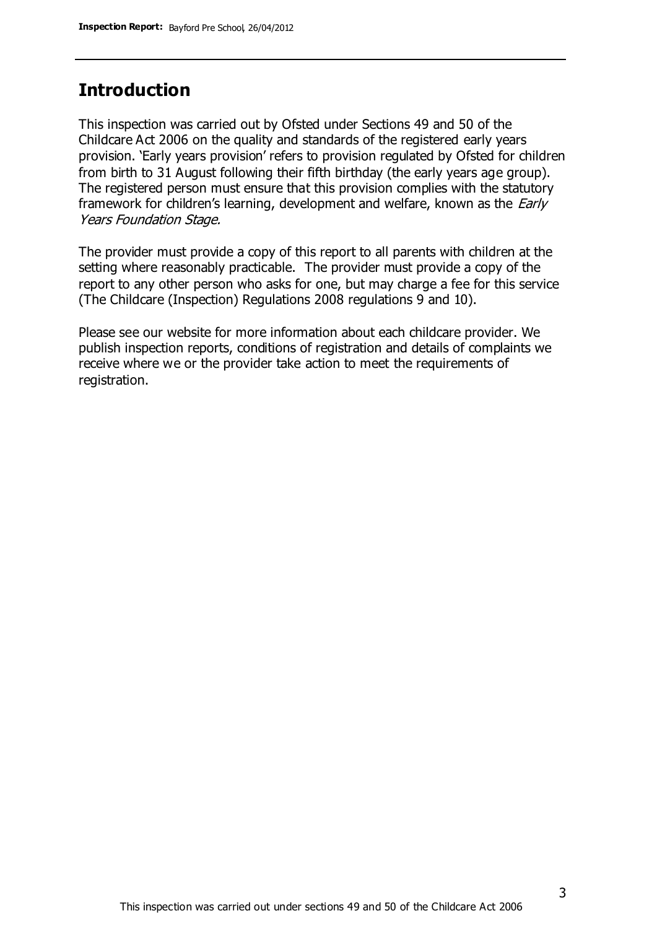## **Introduction**

This inspection was carried out by Ofsted under Sections 49 and 50 of the Childcare Act 2006 on the quality and standards of the registered early years provision. 'Early years provision' refers to provision regulated by Ofsted for children from birth to 31 August following their fifth birthday (the early years age group). The registered person must ensure that this provision complies with the statutory framework for children's learning, development and welfare, known as the *Early* Years Foundation Stage.

The provider must provide a copy of this report to all parents with children at the setting where reasonably practicable. The provider must provide a copy of the report to any other person who asks for one, but may charge a fee for this service (The Childcare (Inspection) Regulations 2008 regulations 9 and 10).

Please see our website for more information about each childcare provider. We publish inspection reports, conditions of registration and details of complaints we receive where we or the provider take action to meet the requirements of registration.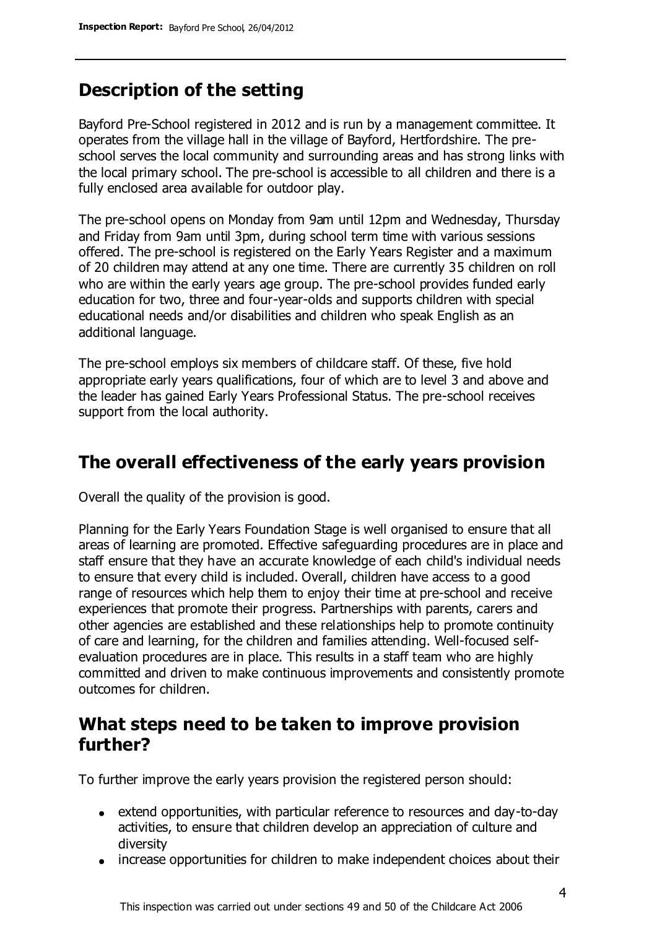# **Description of the setting**

Bayford Pre-School registered in 2012 and is run by a management committee. It operates from the village hall in the village of Bayford, Hertfordshire. The preschool serves the local community and surrounding areas and has strong links with the local primary school. The pre-school is accessible to all children and there is a fully enclosed area available for outdoor play.

The pre-school opens on Monday from 9am until 12pm and Wednesday, Thursday and Friday from 9am until 3pm, during school term time with various sessions offered. The pre-school is registered on the Early Years Register and a maximum of 20 children may attend at any one time. There are currently 35 children on roll who are within the early years age group. The pre-school provides funded early education for two, three and four-year-olds and supports children with special educational needs and/or disabilities and children who speak English as an additional language.

The pre-school employs six members of childcare staff. Of these, five hold appropriate early years qualifications, four of which are to level 3 and above and the leader has gained Early Years Professional Status. The pre-school receives support from the local authority.

# **The overall effectiveness of the early years provision**

Overall the quality of the provision is good.

Planning for the Early Years Foundation Stage is well organised to ensure that all areas of learning are promoted. Effective safeguarding procedures are in place and staff ensure that they have an accurate knowledge of each child's individual needs to ensure that every child is included. Overall, children have access to a good range of resources which help them to enjoy their time at pre-school and receive experiences that promote their progress. Partnerships with parents, carers and other agencies are established and these relationships help to promote continuity of care and learning, for the children and families attending. Well-focused selfevaluation procedures are in place. This results in a staff team who are highly committed and driven to make continuous improvements and consistently promote outcomes for children.

## **What steps need to be taken to improve provision further?**

To further improve the early years provision the registered person should:

- extend opportunities, with particular reference to resources and day-to-day activities, to ensure that children develop an appreciation of culture and diversity
- increase opportunities for children to make independent choices about their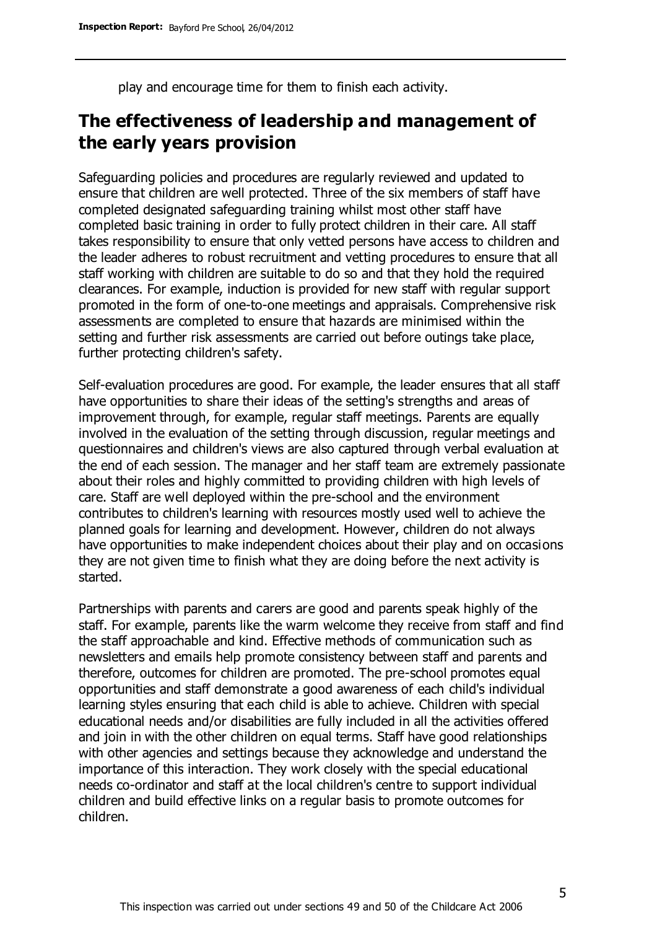play and encourage time for them to finish each activity.

## **The effectiveness of leadership and management of the early years provision**

Safeguarding policies and procedures are regularly reviewed and updated to ensure that children are well protected. Three of the six members of staff have completed designated safeguarding training whilst most other staff have completed basic training in order to fully protect children in their care. All staff takes responsibility to ensure that only vetted persons have access to children and the leader adheres to robust recruitment and vetting procedures to ensure that all staff working with children are suitable to do so and that they hold the required clearances. For example, induction is provided for new staff with regular support promoted in the form of one-to-one meetings and appraisals. Comprehensive risk assessments are completed to ensure that hazards are minimised within the setting and further risk assessments are carried out before outings take place, further protecting children's safety.

Self-evaluation procedures are good. For example, the leader ensures that all staff have opportunities to share their ideas of the setting's strengths and areas of improvement through, for example, regular staff meetings. Parents are equally involved in the evaluation of the setting through discussion, regular meetings and questionnaires and children's views are also captured through verbal evaluation at the end of each session. The manager and her staff team are extremely passionate about their roles and highly committed to providing children with high levels of care. Staff are well deployed within the pre-school and the environment contributes to children's learning with resources mostly used well to achieve the planned goals for learning and development. However, children do not always have opportunities to make independent choices about their play and on occasions they are not given time to finish what they are doing before the next activity is started.

Partnerships with parents and carers are good and parents speak highly of the staff. For example, parents like the warm welcome they receive from staff and find the staff approachable and kind. Effective methods of communication such as newsletters and emails help promote consistency between staff and parents and therefore, outcomes for children are promoted. The pre-school promotes equal opportunities and staff demonstrate a good awareness of each child's individual learning styles ensuring that each child is able to achieve. Children with special educational needs and/or disabilities are fully included in all the activities offered and join in with the other children on equal terms. Staff have good relationships with other agencies and settings because they acknowledge and understand the importance of this interaction. They work closely with the special educational needs co-ordinator and staff at the local children's centre to support individual children and build effective links on a regular basis to promote outcomes for children.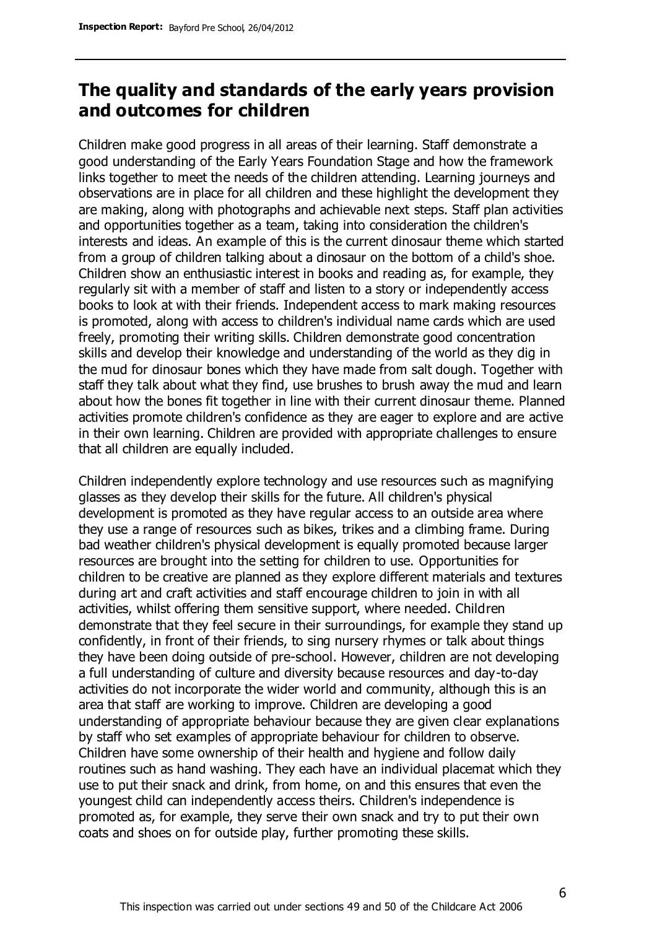## **The quality and standards of the early years provision and outcomes for children**

Children make good progress in all areas of their learning. Staff demonstrate a good understanding of the Early Years Foundation Stage and how the framework links together to meet the needs of the children attending. Learning journeys and observations are in place for all children and these highlight the development they are making, along with photographs and achievable next steps. Staff plan activities and opportunities together as a team, taking into consideration the children's interests and ideas. An example of this is the current dinosaur theme which started from a group of children talking about a dinosaur on the bottom of a child's shoe. Children show an enthusiastic interest in books and reading as, for example, they regularly sit with a member of staff and listen to a story or independently access books to look at with their friends. Independent access to mark making resources is promoted, along with access to children's individual name cards which are used freely, promoting their writing skills. Children demonstrate good concentration skills and develop their knowledge and understanding of the world as they dig in the mud for dinosaur bones which they have made from salt dough. Together with staff they talk about what they find, use brushes to brush away the mud and learn about how the bones fit together in line with their current dinosaur theme. Planned activities promote children's confidence as they are eager to explore and are active in their own learning. Children are provided with appropriate challenges to ensure that all children are equally included.

Children independently explore technology and use resources such as magnifying glasses as they develop their skills for the future. All children's physical development is promoted as they have regular access to an outside area where they use a range of resources such as bikes, trikes and a climbing frame. During bad weather children's physical development is equally promoted because larger resources are brought into the setting for children to use. Opportunities for children to be creative are planned as they explore different materials and textures during art and craft activities and staff encourage children to join in with all activities, whilst offering them sensitive support, where needed. Children demonstrate that they feel secure in their surroundings, for example they stand up confidently, in front of their friends, to sing nursery rhymes or talk about things they have been doing outside of pre-school. However, children are not developing a full understanding of culture and diversity because resources and day-to-day activities do not incorporate the wider world and community, although this is an area that staff are working to improve. Children are developing a good understanding of appropriate behaviour because they are given clear explanations by staff who set examples of appropriate behaviour for children to observe. Children have some ownership of their health and hygiene and follow daily routines such as hand washing. They each have an individual placemat which they use to put their snack and drink, from home, on and this ensures that even the youngest child can independently access theirs. Children's independence is promoted as, for example, they serve their own snack and try to put their own coats and shoes on for outside play, further promoting these skills.